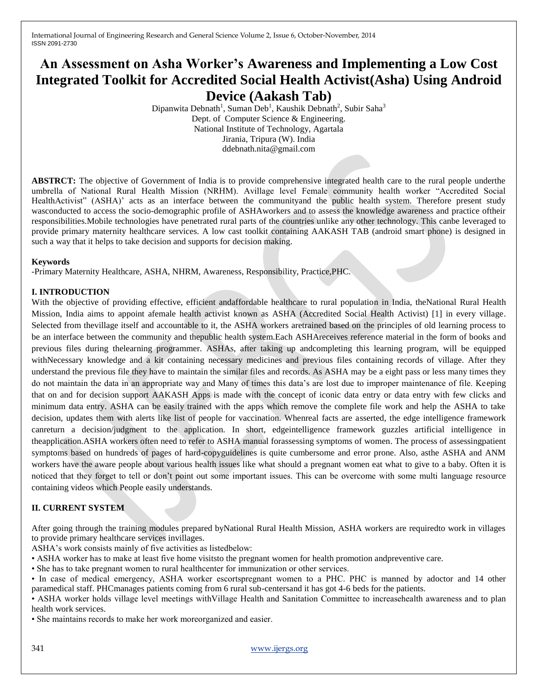# **An Assessment on Asha Worker's Awareness and Implementing a Low Cost Integrated Toolkit for Accredited Social Health Activist(Asha) Using Android Device (Aakash Tab)**

Dipanwita Debnath<sup>1</sup>, Suman Deb<sup>1</sup>, Kaushik Debnath<sup>2</sup>, Subir Saha<sup>3</sup> Dept. of Computer Science & Engineering. National Institute of Technology, Agartala Jirania, Tripura (W). India ddebnath.nita@gmail.com

**ABSTRCT:** The objective of Government of India is to provide comprehensive integrated health care to the rural people underthe umbrella of National Rural Health Mission (NRHM). Avillage level Female community health worker "Accredited Social HealthActivist" (ASHA)' acts as an interface between the communityand the public health system. Therefore present study wasconducted to access the socio-demographic profile of ASHAworkers and to assess the knowledge awareness and practice oftheir responsibilities.Mobile technologies have penetrated rural parts of the countries unlike any other technology. This canbe leveraged to provide primary maternity healthcare services. A low cast toolkit containing AAKASH TAB (android smart phone) is designed in such a way that it helps to take decision and supports for decision making.

#### **Keywords**

-Primary Maternity Healthcare, ASHA, NHRM, Awareness, Responsibility, Practice,PHC.

## **I. INTRODUCTION**

With the objective of providing effective, efficient andaffordable healthcare to rural population in India, theNational Rural Health Mission, India aims to appoint afemale health activist known as ASHA (Accredited Social Health Activist) [1] in every village. Selected from thevillage itself and accountable to it, the ASHA workers aretrained based on the principles of old learning process to be an interface between the community and thepublic health system.Each ASHAreceives reference material in the form of books and previous files during thelearning programmer. ASHAs, after taking up andcompleting this learning program, will be equipped withNecessary knowledge and a kit containing necessary medicines and previous files containing records of village. After they understand the previous file they have to maintain the similar files and records. As ASHA may be a eight pass or less many times they do not maintain the data in an appropriate way and Many of times this data's are lost due to improper maintenance of file. Keeping that on and for decision support AAKASH Apps is made with the concept of iconic data entry or data entry with few clicks and minimum data entry. ASHA can be easily trained with the apps which remove the complete file work and help the ASHA to take decision, updates them with alerts like list of people for vaccination. Whenreal facts are asserted, the edge intelligence framework canreturn a decision/judgment to the application. In short, edgeintelligence framework guzzles artificial intelligence in theapplication.ASHA workers often need to refer to ASHA manual forassessing symptoms of women. The process of assessingpatient symptoms based on hundreds of pages of hard-copyguidelines is quite cumbersome and error prone. Also, asthe ASHA and ANM workers have the aware people about various health issues like what should a pregnant women eat what to give to a baby. Often it is noticed that they forget to tell or don't point out some important issues. This can be overcome with some multi language resource containing videos which People easily understands.

## **II. CURRENT SYSTEM**

After going through the training modules prepared byNational Rural Health Mission, ASHA workers are requiredto work in villages to provide primary healthcare services invillages.

ASHA's work consists mainly of five activities as listedbelow:

• ASHA worker has to make at least five home visitsto the pregnant women for health promotion andpreventive care.

• She has to take pregnant women to rural healthcenter for immunization or other services.

• In case of medical emergency, ASHA worker escortspregnant women to a PHC. PHC is manned by adoctor and 14 other paramedical staff. PHCmanages patients coming from 6 rural sub-centersand it has got 4-6 beds for the patients.

• ASHA worker holds village level meetings withVillage Health and Sanitation Committee to increasehealth awareness and to plan health work services.

• She maintains records to make her work moreorganized and easier.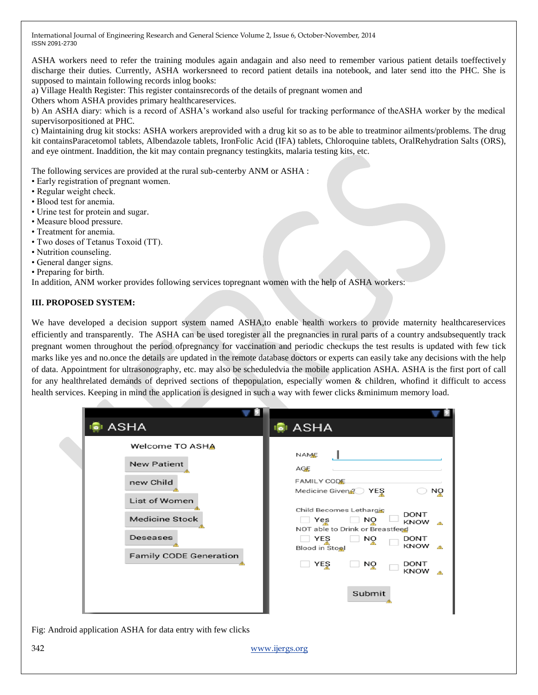ASHA workers need to refer the training modules again andagain and also need to remember various patient details toeffectively discharge their duties. Currently, ASHA workersneed to record patient details ina notebook, and later send itto the PHC. She is supposed to maintain following records inlog books:

a) Village Health Register: This register containsrecords of the details of pregnant women and

Others whom ASHA provides primary healthcareservices.

b) An ASHA diary: which is a record of ASHA's workand also useful for tracking performance of theASHA worker by the medical supervisorpositioned at PHC.

c) Maintaining drug kit stocks: ASHA workers areprovided with a drug kit so as to be able to treatminor ailments/problems. The drug kit containsParacetomol tablets, Albendazole tablets, IronFolic Acid (IFA) tablets, Chloroquine tablets, OralRehydration Salts (ORS), and eye ointment. Inaddition, the kit may contain pregnancy testingkits, malaria testing kits, etc.

The following services are provided at the rural sub-centerby ANM or ASHA :

- Early registration of pregnant women.
- Regular weight check.
- Blood test for anemia.
- Urine test for protein and sugar.
- Measure blood pressure.
- Treatment for anemia.
- Two doses of Tetanus Toxoid (TT).
- Nutrition counseling.
- General danger signs.
- Preparing for birth.

In addition, ANM worker provides following services topregnant women with the help of ASHA workers:

## **III. PROPOSED SYSTEM:**

We have developed a decision support system named ASHA,to enable health workers to provide maternity healthcareservices efficiently and transparently. The ASHA can be used toregister all the pregnancies in rural parts of a country andsubsequently track pregnant women throughout the period ofpregnancy for vaccination and periodic checkups the test results is updated with few tick marks like yes and no.once the details are updated in the remote database doctors or experts can easily take any decisions with the help of data. Appointment for ultrasonography, etc. may also be scheduledvia the mobile application ASHA. ASHA is the first port of call for any healthrelated demands of deprived sections of thepopulation, especially women & children, whofind it difficult to access health services. Keeping in mind the application is designed in such a way with fewer clicks &minimum memory load.

| <b>ASHA</b>                                                                                                                                                    | <b>G</b> I ASHA                                                                                                                                                                                                                                                                                       |
|----------------------------------------------------------------------------------------------------------------------------------------------------------------|-------------------------------------------------------------------------------------------------------------------------------------------------------------------------------------------------------------------------------------------------------------------------------------------------------|
| <b>Welcome TO ASHA</b><br><b>New Patient</b><br>new Child<br><b>List of Women</b><br><b>Medicine Stock</b><br><b>Deseases</b><br><b>Family CODE Generation</b> | <b>NAME</b><br>AGE<br><b>FAMILY CODE</b><br>Medicine Given<br>YEŞ<br>NQ<br>Child Becomes Lethargic<br><b>DONT</b><br>Yes<br>NQ<br>KNOW<br>承<br>NOT able to Drink or Breastfeed<br>YES<br>DONT<br>NO<br>KNOW<br>A.<br><b>Blood in Stool</b><br>YEŞ<br><b>DONT</b><br>NQ<br><b>KNOW</b><br>Æ.<br>Submit |

Fig: Android application ASHA for data entry with few clicks

342 www.ijergs.org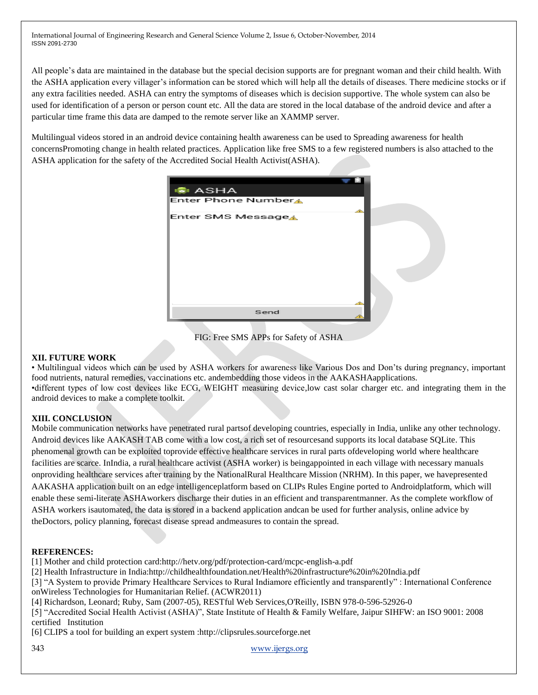All people's data are maintained in the database but the special decision supports are for pregnant woman and their child health. With the ASHA application every villager's information can be stored which will help all the details of diseases. There medicine stocks or if any extra facilities needed. ASHA can entry the symptoms of diseases which is decision supportive. The whole system can also be used for identification of a person or person count etc. All the data are stored in the local database of the android device and after a particular time frame this data are damped to the remote server like an XAMMP server.

Multilingual videos stored in an android device containing health awareness can be used to Spreading awareness for health concernsPromoting change in health related practices. Application like free SMS to a few registered numbers is also attached to the ASHA application for the safety of the Accredited Social Health Activist(ASHA).



FIG: Free SMS APPs for Safety of ASHA

## **XII. FUTURE WORK**

• Multilingual videos which can be used by ASHA workers for awareness like Various Dos and Don'ts during pregnancy, important food nutrients, natural remedies, vaccinations etc. andembedding those videos in the AAKASHAapplications. •different types of low cost devices like ECG, WEIGHT measuring device,low cast solar charger etc. and integrating them in the android devices to make a complete toolkit.

## **XIII. CONCLUSION**

Mobile communication networks have penetrated rural partsof developing countries, especially in India, unlike any other technology. Android devices like AAKASH TAB come with a low cost, a rich set of resourcesand supports its local database SQLite. This phenomenal growth can be exploited toprovide effective healthcare services in rural parts ofdeveloping world where healthcare facilities are scarce. InIndia, a rural healthcare activist (ASHA worker) is beingappointed in each village with necessary manuals onproviding healthcare services after training by the NationalRural Healthcare Mission (NRHM). In this paper, we havepresented AAKASHA application built on an edge intelligenceplatform based on CLIPs Rules Engine ported to Androidplatform, which will enable these semi-literate ASHAworkers discharge their duties in an efficient and transparentmanner. As the complete workflow of ASHA workers isautomated, the data is stored in a backend application andcan be used for further analysis, online advice by theDoctors, policy planning, forecast disease spread andmeasures to contain the spread.

## **REFERENCES:**

[1] Mother and child protection card:http://hetv.org/pdf/protection-card/mcpc-english-a.pdf

[2] Health Infrastructure in India:http://childhealthfoundation.net/Health%20infrastructure%20in%20India.pdf

[3] "A System to provide Primary Healthcare Services to Rural Indiamore efficiently and transparently" : International Conference onWireless Technologies for Humanitarian Relief. (ACWR2011)

[4] Richardson, Leonard; Ruby, Sam (2007-05), RESTful Web Services,O'Reilly, ISBN 978-0-596-52926-0

[5] "Accredited Social Health Activist (ASHA)", State Institute of Health & Family Welfare, Jaipur SIHFW: an ISO 9001: 2008 certified Institution

[6] CLIPS a tool for building an expert system :http://clipsrules.sourceforge.net

343 www.ijergs.org